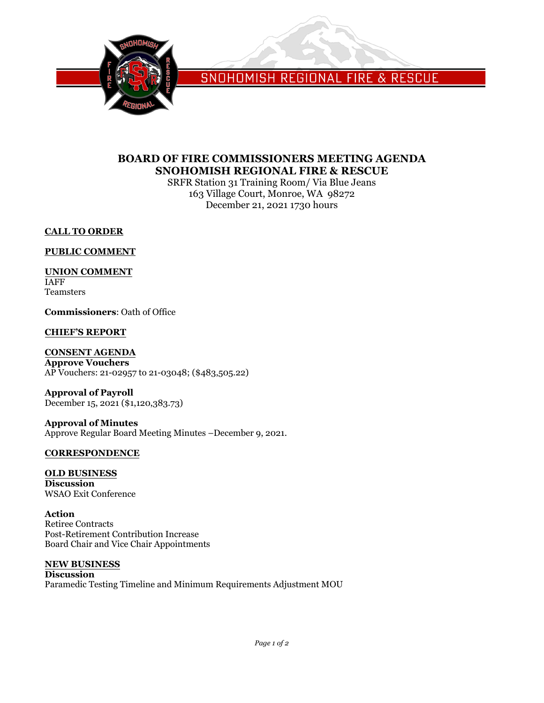

SNOHOMISH REGIONAL FIRE & RESCUE

## **BOARD OF FIRE COMMISSIONERS MEETING AGENDA SNOHOMISH REGIONAL FIRE & RESCUE**

SRFR Station 31 Training Room/ Via Blue Jeans 163 Village Court, Monroe, WA 98272 December 21, 2021 1730 hours

**CALL TO ORDER**

**PUBLIC COMMENT**

**UNION COMMENT** IAFF Teamsters

**Commissioners**: Oath of Office

## **CHIEF'S REPORT**

**CONSENT AGENDA**

**Approve Vouchers** AP Vouchers: 21-02957 to 21-03048; (\$483,505.22)

**Approval of Payroll** December 15, 2021 (\$1,120,383.73)

**Approval of Minutes** Approve Regular Board Meeting Minutes –December 9, 2021.

### **CORRESPONDENCE**

**OLD BUSINESS Discussion** WSAO Exit Conference

**Action** Retiree Contracts Post-Retirement Contribution Increase Board Chair and Vice Chair Appointments

## **NEW BUSINESS**

**Discussion** Paramedic Testing Timeline and Minimum Requirements Adjustment MOU